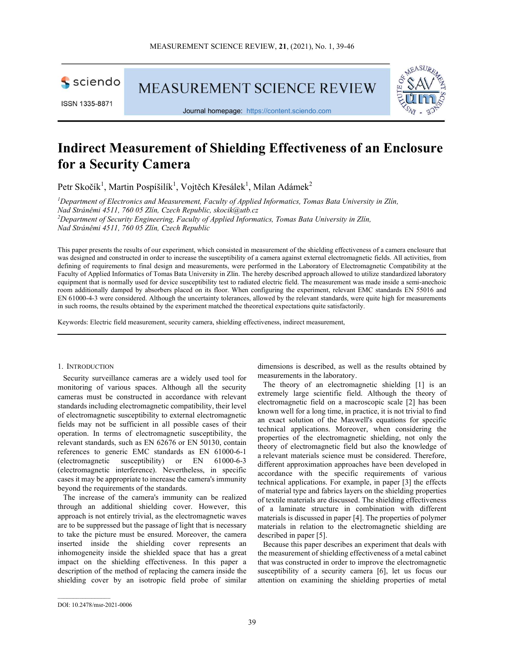

ISSN 1335-8871

**MEASUREMENT SCIENCE REVIEW** 



Journal homepage: https://content.sciendo.com

# Indirect Measurement of Shielding Effectiveness of an Enclosure for a Security Camera

Petr Skočík<sup>1</sup>, Martin Pospíšilík<sup>1</sup>, Vojtěch Křesálek<sup>1</sup>, Milan Adámek<sup>2</sup>

<sup>1</sup>Department of Electronics and Measurement, Faculty of Applied Informatics, Tomas Bata University in Zlín, Nad Stráněmi 4511, 760 05 Zlín, Czech Republic, skocik@utb.cz <sup>2</sup>Department of Security Engineering, Faculty of Applied Informatics, Tomas Bata University in Zlín, Nad Stráněmi 4511, 760 05 Zlín, Czech Republic

This paper presents the results of our experiment, which consisted in measurement of the shielding effectiveness of a camera enclosure that was designed and constructed in order to increase the susceptibility of a camera against external electromagnetic fields. All activities, from defining of requirements to final design and measurements, were performed in the Laboratory of Electromagnetic Compatibility at the Faculty of Applied Informatics of Tomas Bata University in Zlín. The hereby described approach allowed to utilize standardized laboratory equipment that is normally used for device susceptibility test to radiated electric field. The measurement was made inside a semi-anechoic room additionally damped by absorbers placed on its floor. When configuring the experiment, relevant EMC standards EN 55016 and EN 61000-4-3 were considered. Although the uncertainty tolerances, allowed by the relevant standards, were quite high for measurements in such rooms, the results obtained by the experiment matched the theoretical expectations quite satisfactorily.

Keywords: Electric field measurement, security camera, shielding effectiveness, indirect measurement,

# 1. INTRODUCTION

Security surveillance cameras are a widely used tool for monitoring of various spaces. Although all the security cameras must be constructed in accordance with relevant standards including electromagnetic compatibility, their level of electromagnetic susceptibility to external electromagnetic fields may not be sufficient in all possible cases of their operation. In terms of electromagnetic susceptibility, the relevant standards, such as EN 62676 or EN 50130, contain references to generic EMC standards as EN 61000-6-1 (electromagnetic susceptibility) or EN 61000-6-3 (electromagnetic interference). Nevertheless, in specific cases it may be appropriate to increase the camera's immunity beyond the requirements of the standards.

The increase of the camera's immunity can be realized through an additional shielding cover. However, this approach is not entirely trivial, as the electromagnetic waves are to be suppressed but the passage of light that is necessary to take the picture must be ensured. Moreover, the camera inserted inside the shielding cover represents an inhomogeneity inside the shielded space that has a great impact on the shielding effectiveness. In this paper a description of the method of replacing the camera inside the shielding cover by an isotropic field probe of similar dimensions is described, as well as the results obtained by measurements in the laboratory.

The theory of an electromagnetic shielding [1] is an extremely large scientific field. Although the theory of electromagnetic field on a macroscopic scale [2] has been known well for a long time, in practice, it is not trivial to find an exact solution of the Maxwell's equations for specific technical applications. Moreover, when considering the properties of the electromagnetic shielding, not only the theory of electromagnetic field but also the knowledge of a relevant materials science must be considered. Therefore, different approximation approaches have been developed in accordance with the specific requirements of various technical applications. For example, in paper [3] the effects of material type and fabrics layers on the shielding properties of textile materials are discussed. The shielding effectiveness of a laminate structure in combination with different materials is discussed in paper [4]. The properties of polymer materials in relation to the electromagnetic shielding are described in paper [5].

Because this paper describes an experiment that deals with the measurement of shielding effectiveness of a metal cabinet that was constructed in order to improve the electromagnetic susceptibility of a security camera [6], let us focus our attention on examining the shielding properties of metal

 $\mathcal{L}_\text{max}$ 

DOI: 10.2478/msr-2021-0006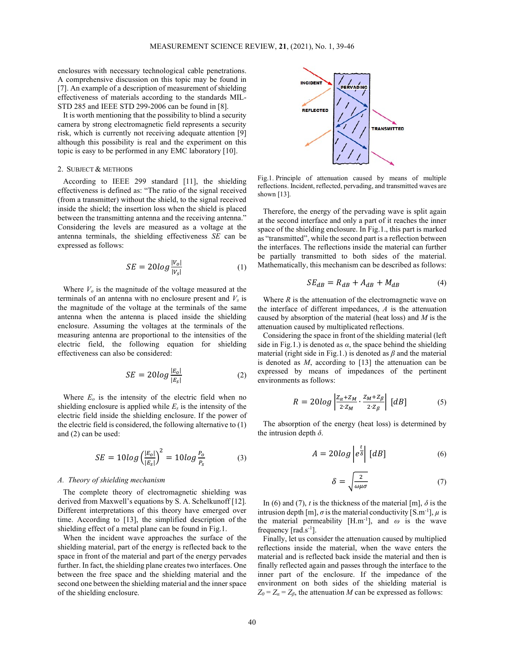enclosures with necessary technological cable penetrations. A comprehensive discussion on this topic may be found in [7]. An example of a description of measurement of shielding effectiveness of materials according to the standards MIL-STD 285 and IEEE STD 299-2006 can be found in [8].

It is worth mentioning that the possibility to blind a security camera by strong electromagnetic field represents a security risk, which is currently not receiving adequate attention [9] although this possibility is real and the experiment on this topic is easy to be performed in any EMC laboratory [10].

## 2. SUBJECT & METHODS

According to IEEE 299 standard [11], the shielding effectiveness is defined as: "The ratio of the signal received (from a transmitter) without the shield, to the signal received inside the shield; the insertion loss when the shield is placed between the transmitting antenna and the receiving antenna." Considering the levels are measured as a voltage at the antenna terminals, the shielding effectiveness SE can be expressed as follows:

$$
SE = 20log \frac{|V_o|}{|V_s|} \tag{1}
$$

Where  $V<sub>o</sub>$  is the magnitude of the voltage measured at the terminals of an antenna with no enclosure present and  $V_s$  is the magnitude of the voltage at the terminals of the same antenna when the antenna is placed inside the shielding enclosure. Assuming the voltages at the terminals of the measuring antenna are proportional to the intensities of the electric field, the following equation for shielding effectiveness can also be considered:

$$
SE = 20log \frac{|E_o|}{|E_s|} \tag{2}
$$

Where  $E<sub>o</sub>$  is the intensity of the electric field when no shielding enclosure is applied while  $E_s$  is the intensity of the electric field inside the shielding enclosure. If the power of the electric field is considered, the following alternative to (1) and (2) can be used:

$$
SE = 10 \log \left(\frac{|E_o|}{|E_s|}\right)^2 = 10 \log \frac{P_o}{P_s}
$$
 (3)

# A. Theory of shielding mechanism

The complete theory of electromagnetic shielding was derived from Maxwell's equations by S. A. Schelkunoff [12]. Different interpretations of this theory have emerged over time. According to [13], the simplified description of the shielding effect of a metal plane can be found in Fig.1.

When the incident wave approaches the surface of the shielding material, part of the energy is reflected back to the space in front of the material and part of the energy pervades further. In fact, the shielding plane creates two interfaces. One between the free space and the shielding material and the second one between the shielding material and the inner space of the shielding enclosure.



Fig.1. Principle of attenuation caused by means of multiple reflections. Incident, reflected, pervading, and transmitted waves are shown [13].

Therefore, the energy of the pervading wave is split again at the second interface and only a part of it reaches the inner space of the shielding enclosure. In Fig.1., this part is marked as "transmitted", while the second part is a reflection between the interfaces. The reflections inside the material can further be partially transmitted to both sides of the material. Mathematically, this mechanism can be described as follows:

$$
SE_{dB} = R_{dB} + A_{dB} + M_{dB}
$$
 (4)

Where  $R$  is the attenuation of the electromagnetic wave on the interface of different impedances,  $A$  is the attenuation caused by absorption of the material (heat loss) and  $M$  is the attenuation caused by multiplicated reflections.

Considering the space in front of the shielding material (left side in Fig.1.) is denoted as  $\alpha$ , the space behind the shielding material (right side in Fig.1.) is denoted as  $\beta$  and the material is denoted as  $M$ , according to  $[13]$  the attenuation can be expressed by means of impedances of the pertinent environments as follows:

$$
R = 20log\left|\frac{Z_{\alpha} + Z_M}{2 \cdot Z_M} \cdot \frac{Z_M + Z_{\beta}}{2 \cdot Z_{\beta}}\right| \, [dB] \tag{5}
$$

The absorption of the energy (heat loss) is determined by the intrusion depth  $\delta$ .

$$
A = 20log \left| e^{\frac{t}{\delta}} \right| \left[ dB \right] \tag{6}
$$

$$
\delta = \sqrt{\frac{2}{\omega \mu \sigma}}\tag{7}
$$

In (6) and (7), t is the thickness of the material [m],  $\delta$  is the intrusion depth [m],  $\sigma$  is the material conductivity [S.m<sup>-1</sup>],  $\mu$  is the material permeability [H.m<sup>-1</sup>], and  $\omega$  is the wave frequency  $[rad.s^{-1}]$ .

Finally, let us consider the attenuation caused by multiplied reflections inside the material, when the wave enters the material and is reflected back inside the material and then is finally reflected again and passes through the interface to the inner part of the enclosure. If the impedance of the environment on both sides of the shielding material is  $Z_0 = Z_\alpha = Z_\beta$ , the attenuation M can be expressed as follows: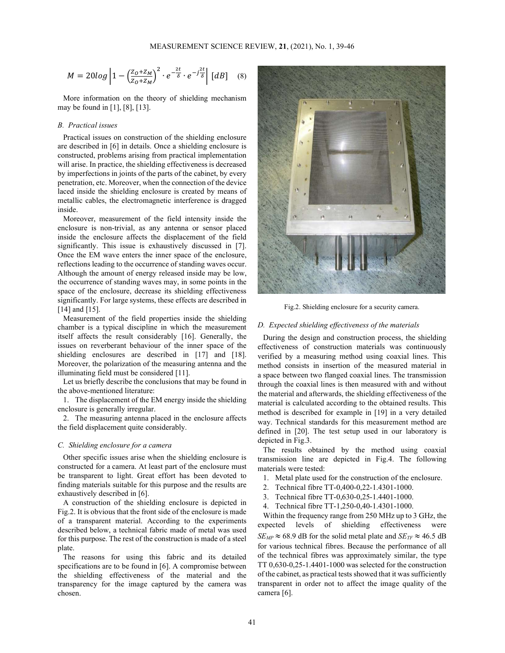$$
M = 20log\left|1 - \left(\frac{z_o + z_M}{z_o + z_M}\right)^2 \cdot e^{-\frac{2t}{\delta}} \cdot e^{-j\frac{2t}{\delta}}\right| \, [dB] \quad (8)
$$

More information on the theory of shielding mechanism may be found in [1], [8], [13].

# B. Practical issues

Practical issues on construction of the shielding enclosure are described in [6] in details. Once a shielding enclosure is constructed, problems arising from practical implementation will arise. In practice, the shielding effectiveness is decreased by imperfections in joints of the parts of the cabinet, by every penetration, etc. Moreover, when the connection of the device laced inside the shielding enclosure is created by means of metallic cables, the electromagnetic interference is dragged inside.

Moreover, measurement of the field intensity inside the enclosure is non-trivial, as any antenna or sensor placed inside the enclosure affects the displacement of the field significantly. This issue is exhaustively discussed in [7]. Once the EM wave enters the inner space of the enclosure, reflections leading to the occurrence of standing waves occur. Although the amount of energy released inside may be low, the occurrence of standing waves may, in some points in the space of the enclosure, decrease its shielding effectiveness significantly. For large systems, these effects are described in [14] and [15].

Measurement of the field properties inside the shielding chamber is a typical discipline in which the measurement itself affects the result considerably [16]. Generally, the issues on reverberant behaviour of the inner space of the shielding enclosures are described in [17] and [18]. Moreover, the polarization of the measuring antenna and the illuminating field must be considered [11].

Let us briefly describe the conclusions that may be found in the above-mentioned literature:

1. The displacement of the EM energy inside the shielding enclosure is generally irregular.

2. The measuring antenna placed in the enclosure affects the field displacement quite considerably.

# C. Shielding enclosure for a camera

Other specific issues arise when the shielding enclosure is constructed for a camera. At least part of the enclosure must be transparent to light. Great effort has been devoted to finding materials suitable for this purpose and the results are exhaustively described in [6].

A construction of the shielding enclosure is depicted in Fig.2. It is obvious that the front side of the enclosure is made of a transparent material. According to the experiments described below, a technical fabric made of metal was used for this purpose. The rest of the construction is made of a steel plate.

The reasons for using this fabric and its detailed specifications are to be found in [6]. A compromise between the shielding effectiveness of the material and the transparency for the image captured by the camera was chosen.



Fig.2. Shielding enclosure for a security camera.

# D. Expected shielding effectiveness of the materials

During the design and construction process, the shielding effectiveness of construction materials was continuously verified by a measuring method using coaxial lines. This method consists in insertion of the measured material in a space between two flanged coaxial lines. The transmission through the coaxial lines is then measured with and without the material and afterwards, the shielding effectiveness of the material is calculated according to the obtained results. This method is described for example in [19] in a very detailed way. Technical standards for this measurement method are defined in [20]. The test setup used in our laboratory is depicted in Fig.3.

The results obtained by the method using coaxial transmission line are depicted in Fig.4. The following materials were tested:

- 1. Metal plate used for the construction of the enclosure.
- 2. Technical fibre TT-0,400-0,22-1.4301-1000.
- 3. Technical fibre TT-0,630-0,25-1.4401-1000.
- 4. Technical fibre TT-1,250-0,40-1.4301-1000.

Within the frequency range from 250 MHz up to 3 GHz, the expected levels of shielding effectiveness were  $SE_{MP} \approx 68.9$  dB for the solid metal plate and  $SE_{TF} \approx 46.5$  dB for various technical fibres. Because the performance of all of the technical fibres was approximately similar, the type TT 0,630-0,25-1.4401-1000 was selected for the construction of the cabinet, as practical tests showed that it was sufficiently transparent in order not to affect the image quality of the camera [6].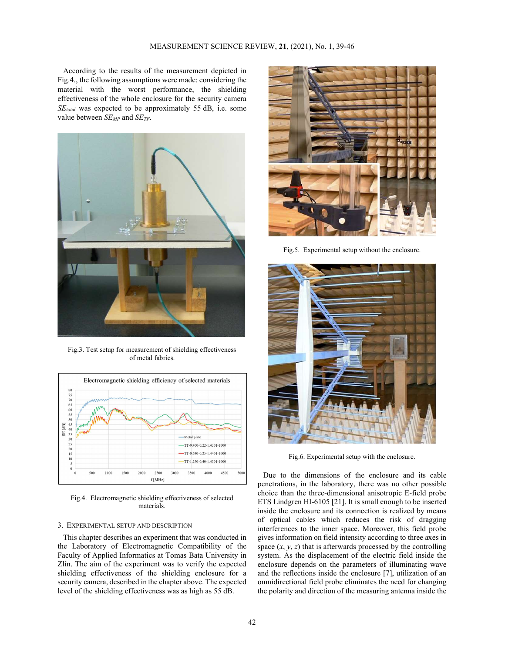According to the results of the measurement depicted in Fig.4., the following assumptions were made: considering the material with the worst performance, the shielding effectiveness of the whole enclosure for the security camera  $SE_{total}$  was expected to be approximately 55 dB, i.e. some value between  $SE_{MP}$  and  $SE_{TF}$ .



Fig.3. Test setup for measurement of shielding effectiveness of metal fabrics.



Fig.4. Electromagnetic shielding effectiveness of selected materials.

# 3. EXPERIMENTAL SETUP AND DESCRIPTION

This chapter describes an experiment that was conducted in the Laboratory of Electromagnetic Compatibility of the Faculty of Applied Informatics at Tomas Bata University in Zlín. The aim of the experiment was to verify the expected shielding effectiveness of the shielding enclosure for a security camera, described in the chapter above. The expected level of the shielding effectiveness was as high as 55 dB.



Fig.5. Experimental setup without the enclosure.



Fig.6. Experimental setup with the enclosure.

Due to the dimensions of the enclosure and its cable penetrations, in the laboratory, there was no other possible choice than the three-dimensional anisotropic E-field probe ETS Lindgren HI-6105 [21]. It is small enough to be inserted inside the enclosure and its connection is realized by means of optical cables which reduces the risk of dragging interferences to the inner space. Moreover, this field probe gives information on field intensity according to three axes in space  $(x, y, z)$  that is afterwards processed by the controlling system. As the displacement of the electric field inside the enclosure depends on the parameters of illuminating wave and the reflections inside the enclosure [7], utilization of an omnidirectional field probe eliminates the need for changing the polarity and direction of the measuring antenna inside the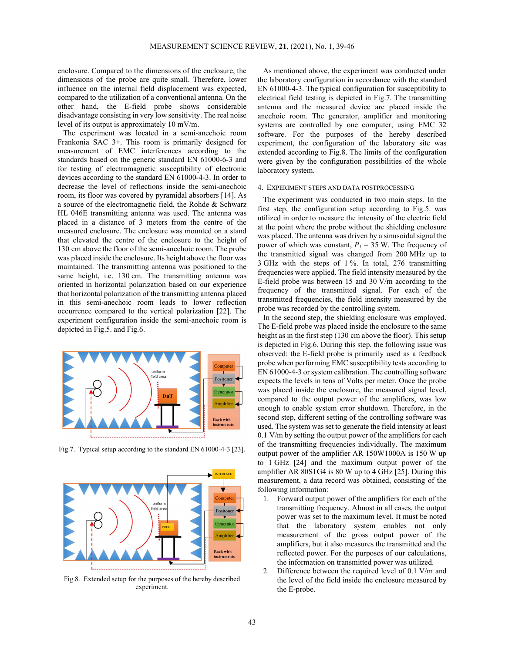enclosure. Compared to the dimensions of the enclosure, the dimensions of the probe are quite small. Therefore, lower influence on the internal field displacement was expected, compared to the utilization of a conventional antenna. On the other hand, the E-field probe shows considerable disadvantage consisting in very low sensitivity. The real noise level of its output is approximately 10 mV/m.

The experiment was located in a semi-anechoic room Frankonia SAC 3+. This room is primarily designed for measurement of EMC interferences according to the standards based on the generic standard EN 61000-6-3 and for testing of electromagnetic susceptibility of electronic devices according to the standard EN 61000-4-3. In order to decrease the level of reflections inside the semi-anechoic room, its floor was covered by pyramidal absorbers [14]. As a source of the electromagnetic field, the Rohde & Schwarz HL 046E transmitting antenna was used. The antenna was placed in a distance of 3 meters from the centre of the measured enclosure. The enclosure was mounted on a stand that elevated the centre of the enclosure to the height of 130 cm above the floor of the semi-anechoic room. The probe was placed inside the enclosure. Its height above the floor was maintained. The transmitting antenna was positioned to the same height, i.e. 130 cm. The transmitting antenna was oriented in horizontal polarization based on our experience that horizontal polarization of the transmitting antenna placed in this semi-anechoic room leads to lower reflection occurrence compared to the vertical polarization [22]. The experiment configuration inside the semi-anechoic room is depicted in Fig.5. and Fig.6.



Fig.7. Typical setup according to the standard EN 61000-4-3 [23].



Fig.8. Extended setup for the purposes of the hereby described experiment.

As mentioned above, the experiment was conducted under the laboratory configuration in accordance with the standard EN 61000-4-3. The typical configuration for susceptibility to electrical field testing is depicted in Fig.7. The transmitting antenna and the measured device are placed inside the anechoic room. The generator, amplifier and monitoring systems are controlled by one computer, using EMC 32 software. For the purposes of the hereby described experiment, the configuration of the laboratory site was extended according to Fig.8. The limits of the configuration were given by the configuration possibilities of the whole laboratory system.

# 4. EXPERIMENT STEPS AND DATA POSTPROCESSING

The experiment was conducted in two main steps. In the first step, the configuration setup according to Fig.5. was utilized in order to measure the intensity of the electric field at the point where the probe without the shielding enclosure was placed. The antenna was driven by a sinusoidal signal the power of which was constant,  $P_1 = 35$  W. The frequency of the transmitted signal was changed from 200 MHz up to 3 GHz with the steps of 1 %. In total, 276 transmitting frequencies were applied. The field intensity measured by the E-field probe was between 15 and 30 V/m according to the frequency of the transmitted signal. For each of the transmitted frequencies, the field intensity measured by the probe was recorded by the controlling system.

In the second step, the shielding enclosure was employed. The E-field probe was placed inside the enclosure to the same height as in the first step (130 cm above the floor). This setup is depicted in Fig.6. During this step, the following issue was observed: the E-field probe is primarily used as a feedback probe when performing EMC susceptibility tests according to EN 61000-4-3 or system calibration. The controlling software expects the levels in tens of Volts per meter. Once the probe was placed inside the enclosure, the measured signal level, compared to the output power of the amplifiers, was low enough to enable system error shutdown. Therefore, in the second step, different setting of the controlling software was used. The system was set to generate the field intensity at least 0.1 V/m by setting the output power of the amplifiers for each of the transmitting frequencies individually. The maximum output power of the amplifier AR 150W1000A is 150 W up to 1 GHz [24] and the maximum output power of the amplifier AR 80S1G4 is 80 W up to 4 GHz [25]. During this measurement, a data record was obtained, consisting of the following information:

- 1. Forward output power of the amplifiers for each of the transmitting frequency. Almost in all cases, the output power was set to the maximum level. It must be noted **EROBE CONFIDENT CONFIDENT that the laboratory** system enables not only measurement of the gross output power of the amplifiers, but it also measures the transmitted and the reflected power. For the purposes of our calculations, the information on transmitted power was utilized.
	- 2. Difference between the required level of 0.1 V/m and the level of the field inside the enclosure measured by the E-probe.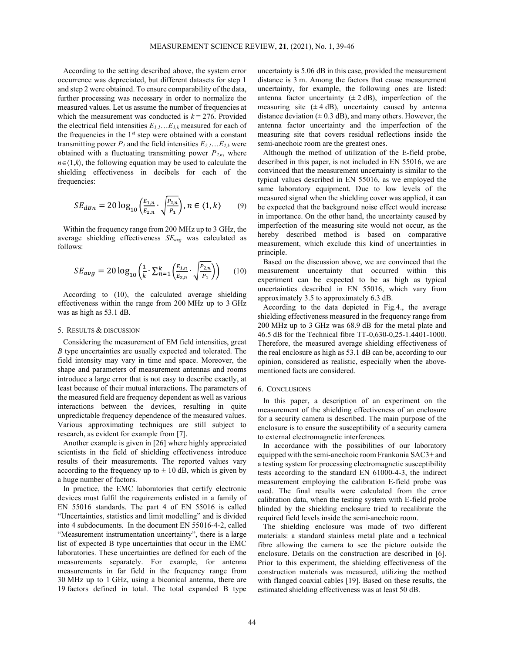According to the setting described above, the system error occurrence was depreciated, but different datasets for step 1 and step 2 were obtained. To ensure comparability of the data, further processing was necessary in order to normalize the measured values. Let us assume the number of frequencies at which the measurement was conducted is  $k = 276$ . Provided the electrical field intensities  $E_{1,1}$ ... $E_{1,k}$  measured for each of the frequencies in the  $1<sup>st</sup>$  step were obtained with a constant transmitting power  $P_1$  and the field intensities  $E_{2,1}$ ... $E_{2,k}$  were obtained with a fluctuating transmitting power  $P_{2,n}$ , where  $n\in\langle 1,k\rangle$ , the following equation may be used to calculate the shielding effectiveness in decibels for each of the frequencies:

$$
SE_{dBn} = 20 \log_{10} \left( \frac{E_{1,n}}{E_{2,n}} \cdot \sqrt{\frac{P_{2,n}}{P_1}} \right), n \in \{1, k\} \tag{9}
$$

Within the frequency range from 200 MHz up to 3 GHz, the average shielding effectiveness SEavg was calculated as follows:

$$
SE_{avg} = 20 \log_{10} \left( \frac{1}{k} \cdot \sum_{n=1}^{k} \left( \frac{E_{1,n}}{E_{2,n}} \cdot \sqrt{\frac{P_{2,n}}{P_1}} \right) \right) \tag{10}
$$

According to (10), the calculated average shielding effectiveness within the range from 200 MHz up to 3 GHz was as high as 53.1 dB.

## 5. RESULTS & DISCUSSION

Considering the measurement of EM field intensities, great B type uncertainties are usually expected and tolerated. The field intensity may vary in time and space. Moreover, the shape and parameters of measurement antennas and rooms introduce a large error that is not easy to describe exactly, at least because of their mutual interactions. The parameters of the measured field are frequency dependent as well as various interactions between the devices, resulting in quite unpredictable frequency dependence of the measured values. Various approximating techniques are still subject to research, as evident for example from [7].

Another example is given in [26] where highly appreciated scientists in the field of shielding effectiveness introduce results of their measurements. The reported values vary according to the frequency up to  $\pm$  10 dB, which is given by a huge number of factors.

In practice, the EMC laboratories that certify electronic devices must fulfil the requirements enlisted in a family of EN 55016 standards. The part 4 of EN 55016 is called "Uncertainties, statistics and limit modelling" and is divided into 4 subdocuments. In the document EN 55016-4-2, called "Measurement instrumentation uncertainty", there is a large list of expected B type uncertainties that occur in the EMC laboratories. These uncertainties are defined for each of the measurements separately. For example, for antenna measurements in far field in the frequency range from 30 MHz up to 1 GHz, using a biconical antenna, there are 19 factors defined in total. The total expanded B type

uncertainty is 5.06 dB in this case, provided the measurement distance is 3 m. Among the factors that cause measurement uncertainty, for example, the following ones are listed: antenna factor uncertainty  $(\pm 2 \text{ dB})$ , imperfection of the measuring site  $(\pm 4 \text{ dB})$ , uncertainty caused by antenna distance deviation  $(± 0.3$  dB), and many others. However, the antenna factor uncertainty and the imperfection of the measuring site that covers residual reflections inside the semi-anechoic room are the greatest ones.

Although the method of utilization of the E-field probe, described in this paper, is not included in EN 55016, we are convinced that the measurement uncertainty is similar to the typical values described in EN 55016, as we employed the same laboratory equipment. Due to low levels of the measured signal when the shielding cover was applied, it can be expected that the background noise effect would increase in importance. On the other hand, the uncertainty caused by imperfection of the measuring site would not occur, as the hereby described method is based on comparative measurement, which exclude this kind of uncertainties in principle.

Based on the discussion above, we are convinced that the measurement uncertainty that occurred within this experiment can be expected to be as high as typical uncertainties described in EN 55016, which vary from approximately 3.5 to approximately 6.3 dB.

According to the data depicted in Fig.4., the average shielding effectiveness measured in the frequency range from 200 MHz up to 3 GHz was 68.9 dB for the metal plate and 46.5 dB for the Technical fibre TT-0,630-0,25-1.4401-1000. Therefore, the measured average shielding effectiveness of the real enclosure as high as 53.1 dB can be, according to our opinion, considered as realistic, especially when the abovementioned facts are considered.

## 6. CONCLUSIONS

In this paper, a description of an experiment on the measurement of the shielding effectiveness of an enclosure for a security camera is described. The main purpose of the enclosure is to ensure the susceptibility of a security camera to external electromagnetic interferences.

In accordance with the possibilities of our laboratory equipped with the semi-anechoic room Frankonia SAC3+ and a testing system for processing electromagnetic susceptibility tests according to the standard EN 61000-4-3, the indirect measurement employing the calibration E-field probe was used. The final results were calculated from the error calibration data, when the testing system with E-field probe blinded by the shielding enclosure tried to recalibrate the required field levels inside the semi-anechoic room.

The shielding enclosure was made of two different materials: a standard stainless metal plate and a technical fibre allowing the camera to see the picture outside the enclosure. Details on the construction are described in [6]. Prior to this experiment, the shielding effectiveness of the construction materials was measured, utilizing the method with flanged coaxial cables [19]. Based on these results, the estimated shielding effectiveness was at least 50 dB.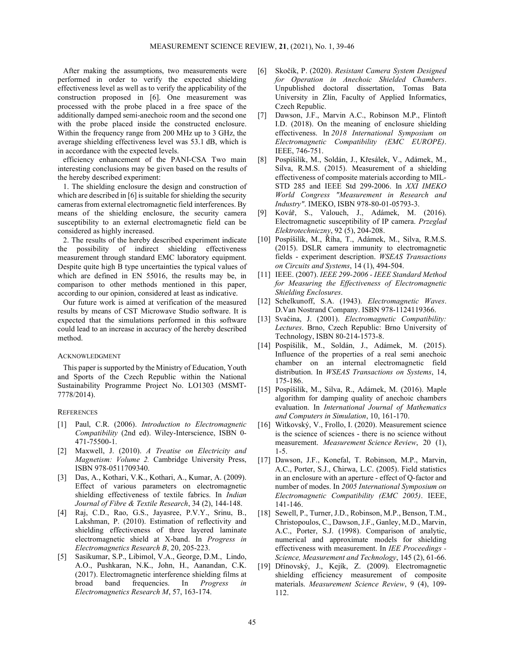After making the assumptions, two measurements were performed in order to verify the expected shielding effectiveness level as well as to verify the applicability of the construction proposed in [6]. One measurement was processed with the probe placed in a free space of the additionally damped semi-anechoic room and the second one with the probe placed inside the constructed enclosure. Within the frequency range from 200 MHz up to 3 GHz, the average shielding effectiveness level was 53.1 dB, which is in accordance with the expected levels.

efficiency enhancement of the PANI-CSA Two main interesting conclusions may be given based on the results of the hereby described experiment:

1. The shielding enclosure the design and construction of which are described in [6] is suitable for shielding the security cameras from external electromagnetic field interferences. By means of the shielding enclosure, the security camera susceptibility to an external electromagnetic field can be considered as highly increased.

2. The results of the hereby described experiment indicate the possibility of indirect shielding effectiveness measurement through standard EMC laboratory equipment. Despite quite high B type uncertainties the typical values of which are defined in EN 55016, the results may be, in comparison to other methods mentioned in this paper, according to our opinion, considered at least as indicative.

Our future work is aimed at verification of the measured results by means of CST Microwave Studio software. It is expected that the simulations performed in this software could lead to an increase in accuracy of the hereby described method.

## ACKNOWLEDGMENT

This paper is supported by the Ministry of Education, Youth and Sports of the Czech Republic within the National Sustainability Programme Project No. LO1303 (MSMT-7778/2014).

#### **REFERENCES**

- [1] Paul, C.R. (2006). Introduction to Electromagnetic Compatibility (2nd ed). Wiley-Interscience, ISBN 0- 471-75500-1.
- [2] Maxwell, J. (2010). A Treatise on Electricity and Magnetism: Volume 2. Cambridge University Press, ISBN 978-0511709340.
- [3] Das, A., Kothari, V.K., Kothari, A., Kumar, A. (2009). Effect of various parameters on electromagnetic shielding effectiveness of textile fabrics. In Indian Journal of Fibre & Textile Research, 34 (2), 144-148.
- [4] Raj, C.D., Rao, G.S., Jayasree, P.V.Y., Srinu, B., Lakshman, P. (2010). Estimation of reflectivity and shielding effectiveness of three layered laminate electromagnetic shield at X-band. In Progress in Electromagnetics Research B, 20, 205-223.
- [5] Sasikumar, S.P., Libimol, V.A., George, D.M., Lindo, A.O., Pushkaran, N.K., John, H., Aanandan, C.K. (2017). Electromagnetic interference shielding films at broad band frequencies. In Progress in Electromagnetics Research M, 57, 163-174.
- [6] Skočík, P. (2020). Resistant Camera System Designed for Operation in Anechoic Shielded Chambers. Unpublished doctoral dissertation, Tomas Bata University in Zlín, Faculty of Applied Informatics, Czech Republic.
- [7] Dawson, J.F., Marvin A.C., Robinson M.P., Flintoft I.D. (2018). On the meaning of enclosure shielding effectiveness. In 2018 International Symposium on Electromagnetic Compatibility (EMC EUROPE). IEEE, 746-751.
- [8] Pospíšilík, M., Soldán, J., Křesálek, V., Adámek, M., Silva, R.M.S. (2015). Measurement of a shielding effectiveness of composite materials according to MIL-STD 285 and IEEE Std 299-2006. In XXI IMEKO World Congress "Measurement in Research and Industry". IMEKO, ISBN 978-80-01-05793-3.
- [9] Kovář, S., Valouch, J., Adámek, M. (2016). Electromagnetic susceptibility of IP camera. Przeglad Elektrotechniczny, 92 (5), 204-208.
- [10] Pospíšilík, M., Říha, T., Adámek, M., Silva, R.M.S. (2015). DSLR camera immunity to electromagnetic fields - experiment description. WSEAS Transactions on Circuits and Systems, 14 (1), 494-504.
- [11] IEEE. (2007). IEEE 299-2006 IEEE Standard Method for Measuring the Effectiveness of Electromagnetic Shielding Enclosures.
- [12] Schelkunoff, S.A. (1943). Electromagnetic Waves. D.Van Nostrand Company. ISBN 978-1124119366.
- [13] Svačina, J. (2001). Electromagnetic Compatibility: Lectures. Brno, Czech Republic: Brno University of Technology, ISBN 80-214-1573-8.
- [14] Pospíšilík, M., Soldán, J., Adámek, M. (2015). Influence of the properties of a real semi anechoic chamber on an internal electromagnetic field distribution. In WSEAS Transactions on Systems, 14, 175-186.
- [15] Pospíšilík, M., Silva, R., Adámek, M. (2016). Maple algorithm for damping quality of anechoic chambers evaluation. In International Journal of Mathematics and Computers in Simulation, 10, 161-170.
- [16] Witkovský, V., Frollo, I. (2020). Measurement science is the science of sciences - there is no science without measurement. Measurement Science Review, 20 (1), 1-5.
- [17] Dawson, J.F., Konefal, T. Robinson, M.P., Marvin, A.C., Porter, S.J., Chirwa, L.C. (2005). Field statistics in an enclosure with an aperture - effect of Q-factor and number of modes. In 2005 International Symposium on Electromagnetic Compatibility (EMC  $2005$ ). IEEE, 141-146.
- [18] Sewell, P., Turner, J.D., Robinson, M.P., Benson, T.M., Christopoulos, C., Dawson, J.F., Ganley, M.D., Marvin, A.C., Porter, S.J. (1998). Comparison of analytic, numerical and approximate models for shielding effectiveness with measurement. In IEE Proceedings - Science, Measurement and Technology, 145 (2), 61-66.
- [19] Dřínovský, J., Kejík, Z. (2009). Electromagnetic shielding efficiency measurement of composite materials. Measurement Science Review, 9 (4), 109- 112.